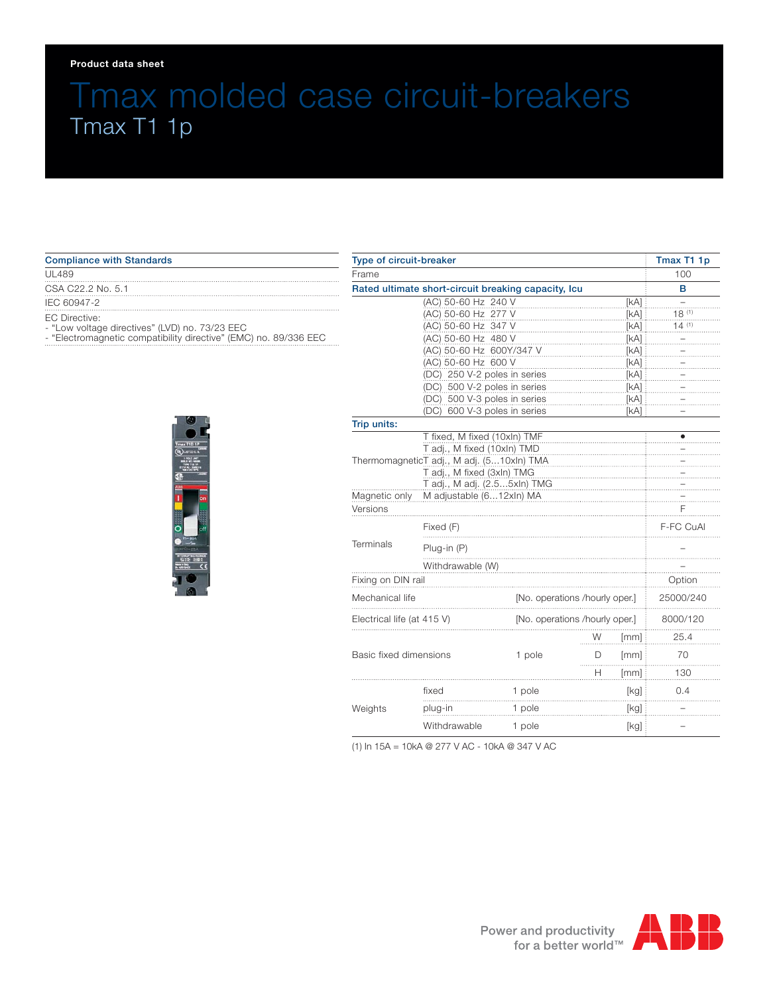### **Product data sheet**

# Tmax molded case circuit-breakers Tmax T1 1p

 $\cdots$ 

#### Compliance with Standards

#### UL489

CSA C22.2 No. 5.1

IEC 60947-2

EC Directive:

- "Low voltage directives" (LVD) no. 73/23 EEC

- "Electromagnetic compatibility directive" (EMC) no. 89/336 EEC



| Type of circuit-breaker                                      |                                |                                |      | Tmax T1 1p |
|--------------------------------------------------------------|--------------------------------|--------------------------------|------|------------|
| Frame                                                        |                                |                                |      | 100        |
| Rated ultimate short-circuit breaking capacity, Icu          |                                |                                |      | в          |
| (AC) 50-60 Hz 240 V                                          |                                |                                | [KA] |            |
| (AC) 50-60 Hz 277 V                                          |                                |                                | [KA] | $18^{(1)}$ |
|                                                              | (AC) 50-60 Hz 347 V            |                                | [KA] | 14(1)      |
| (AC) 50-60 Hz 480 V                                          |                                | [KA]                           |      |            |
| (AC) 50-60 Hz 600Y/347 V                                     |                                | [kA]                           |      |            |
| (AC) 50-60 Hz 600 V<br>[kA]                                  |                                |                                |      |            |
| (DC) 250 V-2 poles in series                                 |                                | [kA]                           |      |            |
|                                                              | (DC) 500 V-2 poles in series   |                                | [kA] |            |
| (DC) 500 V-3 poles in series<br>(DC) 600 V-3 poles in series |                                | [KA]<br>[kA]                   |      |            |
| Trip units:                                                  |                                |                                |      |            |
|                                                              | T fixed, M fixed (10xln) TMF   |                                |      |            |
| T adj., M fixed (10xln) TMD                                  |                                |                                |      |            |
| ThermomagneticT adj., M adj. (510xln) TMA                    |                                |                                |      |            |
|                                                              | T adj., M fixed (3xln) TMG     |                                |      |            |
|                                                              | T adj., M adj. (2.55xln) TMG   |                                |      |            |
| Magnetic only                                                | M adjustable (612xln) MA       |                                |      |            |
| Versions                                                     |                                |                                |      | F          |
| Fixed (F)                                                    |                                |                                |      | F-FC CuAl  |
| Terminals<br>Plug-in (P)                                     |                                |                                |      |            |
| Withdrawable (W)                                             |                                |                                |      |            |
| Fixing on DIN rail                                           |                                |                                |      | Option     |
| Mechanical life                                              | [No. operations /hourly oper.] |                                |      | 25000/240  |
| Electrical life (at 415 V)                                   |                                | [No. operations /hourly oper.] |      |            |
|                                                              |                                | W                              | [mm] | 25.4       |
| Basic fixed dimensions                                       | 1 pole                         | D                              | [mm] | 70         |
|                                                              |                                | н                              | [mm] | 130        |
| fixed                                                        | 1 pole                         |                                | [kg] | 0.4        |
| Weights<br>plug-in                                           | 1 pole                         |                                | [kg] |            |
| Withdrawable                                                 | 1 pole                         |                                | [kg] |            |

(1) In 15A = 10kA @ 277 V AC - 10kA @ 347 V AC

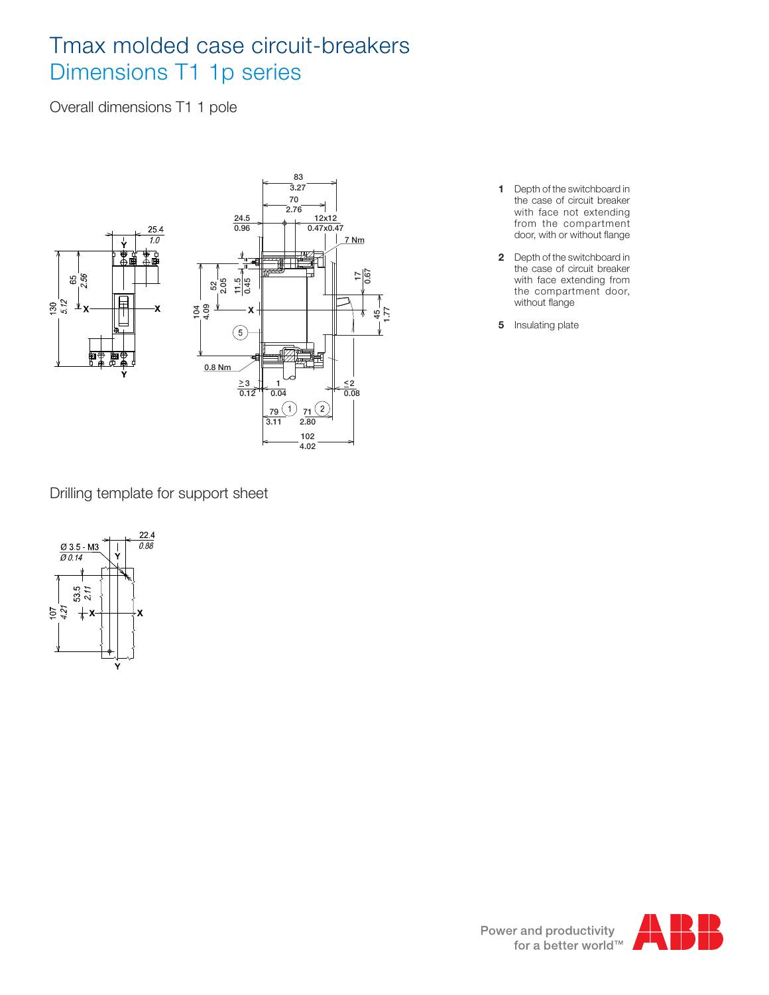# Tmax molded case circuit-breakers Dimensions T1 1p series

Overall dimensions T1 1 pole



Drilling template for support sheet



- **1** Depth of the switchboard in the case of circuit breaker with face not extending from the compartment door, with or without flange
- **2** Depth of the switchboard in the case of circuit breaker with face extending from the compartment door, without flange
- **5** Insulating plate